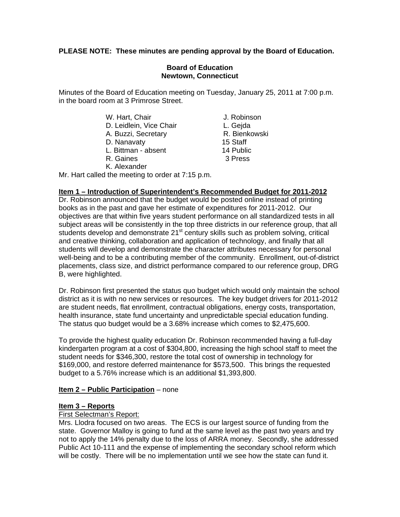# **PLEASE NOTE: These minutes are pending approval by the Board of Education.**

# **Board of Education Newtown, Connecticut**

Minutes of the Board of Education meeting on Tuesday, January 25, 2011 at 7:00 p.m. in the board room at 3 Primrose Street.

> W. Hart, Chair **J. Robinson** D. Leidlein, Vice Chair **L. Geida** A. Buzzi, Secretary **R. Bienkowski** D. Nanavaty 15 Staff L. Bittman - absent 14 Public

- R. Gaines 3 Press
- K. Alexander

Mr. Hart called the meeting to order at 7:15 p.m.

# **Item 1 – Introduction of Superintendent's Recommended Budget for 2011-2012**

Dr. Robinson announced that the budget would be posted online instead of printing books as in the past and gave her estimate of expenditures for 2011-2012. Our objectives are that within five years student performance on all standardized tests in all subject areas will be consistently in the top three districts in our reference group, that all students develop and demonstrate  $21<sup>st</sup>$  century skills such as problem solving, critical and creative thinking, collaboration and application of technology, and finally that all students will develop and demonstrate the character attributes necessary for personal well-being and to be a contributing member of the community. Enrollment, out-of-district placements, class size, and district performance compared to our reference group, DRG B, were highlighted.

Dr. Robinson first presented the status quo budget which would only maintain the school district as it is with no new services or resources. The key budget drivers for 2011-2012 are student needs, flat enrollment, contractual obligations, energy costs, transportation, health insurance, state fund uncertainty and unpredictable special education funding. The status quo budget would be a 3.68% increase which comes to \$2,475,600.

To provide the highest quality education Dr. Robinson recommended having a full-day kindergarten program at a cost of \$304,800, increasing the high school staff to meet the student needs for \$346,300, restore the total cost of ownership in technology for \$169,000, and restore deferred maintenance for \$573,500. This brings the requested budget to a 5.76% increase which is an additional \$1,393,800.

### **Item 2 – Public Participation** – none

### **Item 3 – Reports**

### First Selectman's Report:

Mrs. Llodra focused on two areas. The ECS is our largest source of funding from the state. Governor Malloy is going to fund at the same level as the past two years and try not to apply the 14% penalty due to the loss of ARRA money. Secondly, she addressed Public Act 10-111 and the expense of implementing the secondary school reform which will be costly. There will be no implementation until we see how the state can fund it.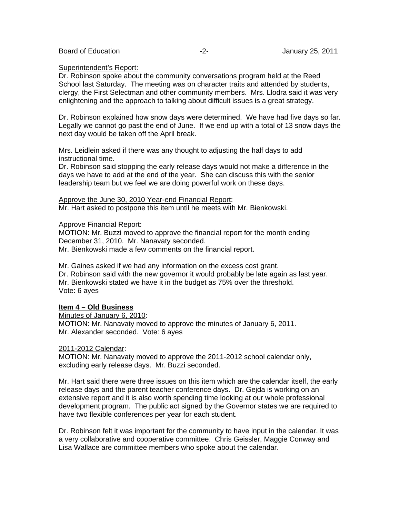#### Superintendent's Report:

Dr. Robinson spoke about the community conversations program held at the Reed School last Saturday. The meeting was on character traits and attended by students, clergy, the First Selectman and other community members. Mrs. Llodra said it was very enlightening and the approach to talking about difficult issues is a great strategy.

Dr. Robinson explained how snow days were determined. We have had five days so far. Legally we cannot go past the end of June. If we end up with a total of 13 snow days the next day would be taken off the April break.

Mrs. Leidlein asked if there was any thought to adjusting the half days to add instructional time.

Dr. Robinson said stopping the early release days would not make a difference in the days we have to add at the end of the year. She can discuss this with the senior leadership team but we feel we are doing powerful work on these days.

Approve the June 30, 2010 Year-end Financial Report:

Mr. Hart asked to postpone this item until he meets with Mr. Bienkowski.

Approve Financial Report:

MOTION: Mr. Buzzi moved to approve the financial report for the month ending December 31, 2010. Mr. Nanavaty seconded. Mr. Bienkowski made a few comments on the financial report.

Mr. Gaines asked if we had any information on the excess cost grant. Dr. Robinson said with the new governor it would probably be late again as last year. Mr. Bienkowski stated we have it in the budget as 75% over the threshold. Vote: 6 ayes

### **Item 4 – Old Business**

Minutes of January 6, 2010: MOTION: Mr. Nanavaty moved to approve the minutes of January 6, 2011. Mr. Alexander seconded. Vote: 6 ayes

### 2011-2012 Calendar:

MOTION: Mr. Nanavaty moved to approve the 2011-2012 school calendar only, excluding early release days. Mr. Buzzi seconded.

Mr. Hart said there were three issues on this item which are the calendar itself, the early release days and the parent teacher conference days. Dr. Gejda is working on an extensive report and it is also worth spending time looking at our whole professional development program. The public act signed by the Governor states we are required to have two flexible conferences per year for each student.

Dr. Robinson felt it was important for the community to have input in the calendar. It was a very collaborative and cooperative committee. Chris Geissler, Maggie Conway and Lisa Wallace are committee members who spoke about the calendar.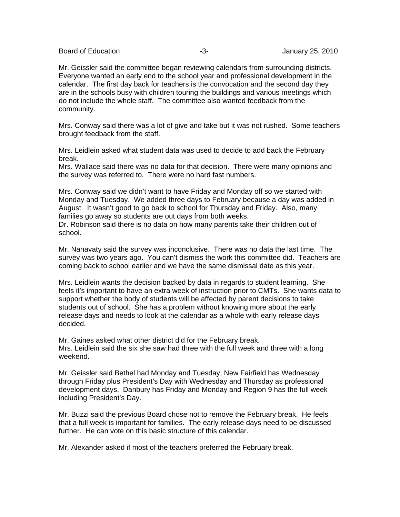Board of Education **Contract Contract Contract Contract Contract Contract Contract Contract Contract Contract Contract Contract Contract Contract Contract Contract Contract Contract Contract Contract Contract Contract Cont** 

Mr. Geissler said the committee began reviewing calendars from surrounding districts. Everyone wanted an early end to the school year and professional development in the calendar. The first day back for teachers is the convocation and the second day they are in the schools busy with children touring the buildings and various meetings which do not include the whole staff. The committee also wanted feedback from the community.

Mrs. Conway said there was a lot of give and take but it was not rushed. Some teachers brought feedback from the staff.

Mrs. Leidlein asked what student data was used to decide to add back the February break.

Mrs. Wallace said there was no data for that decision. There were many opinions and the survey was referred to. There were no hard fast numbers.

Mrs. Conway said we didn't want to have Friday and Monday off so we started with Monday and Tuesday. We added three days to February because a day was added in August. It wasn't good to go back to school for Thursday and Friday. Also, many families go away so students are out days from both weeks.

Dr. Robinson said there is no data on how many parents take their children out of school.

Mr. Nanavaty said the survey was inconclusive. There was no data the last time. The survey was two years ago. You can't dismiss the work this committee did. Teachers are coming back to school earlier and we have the same dismissal date as this year.

Mrs. Leidlein wants the decision backed by data in regards to student learning. She feels it's important to have an extra week of instruction prior to CMTs. She wants data to support whether the body of students will be affected by parent decisions to take students out of school. She has a problem without knowing more about the early release days and needs to look at the calendar as a whole with early release days decided.

Mr. Gaines asked what other district did for the February break. Mrs. Leidlein said the six she saw had three with the full week and three with a long weekend.

Mr. Geissler said Bethel had Monday and Tuesday, New Fairfield has Wednesday through Friday plus President's Day with Wednesday and Thursday as professional development days. Danbury has Friday and Monday and Region 9 has the full week including President's Day.

Mr. Buzzi said the previous Board chose not to remove the February break. He feels that a full week is important for families. The early release days need to be discussed further. He can vote on this basic structure of this calendar.

Mr. Alexander asked if most of the teachers preferred the February break.